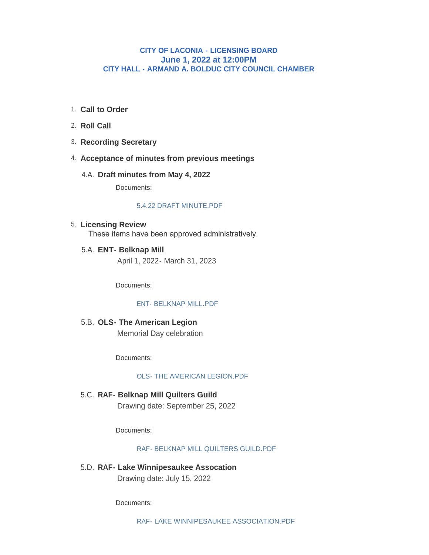# **CITY OF LACONIA - LICENSING BOARD June 1, 2022 at 12:00PM CITY HALL - ARMAND A. BOLDUC CITY COUNCIL CHAMBER**

- **Call to Order** 1.
- 2. **Roll Call**
- **Recording Secretary** 3.
- **Acceptance of minutes from previous meetings** 4.
	- **Draft minutes from May 4, 2022** 4.A.

Documents:

#### [5.4.22 DRAFT MINUTE.PDF](https://www.laconianh.gov/AgendaCenter/ViewFile/Item/20879?fileID=43564)

## **Licensing Review** 5. These items have been approved administratively.

**ENT- Belknap Mill**  5.A. April 1, 2022- March 31, 2023

Documents:

#### [ENT- BELKNAP MILL.PDF](https://www.laconianh.gov/AgendaCenter/ViewFile/Item/20880?fileID=43565)

**OLS- The American Legion** 5.B. Memorial Day celebration

Documents:

#### [OLS- THE AMERICAN LEGION.PDF](https://www.laconianh.gov/AgendaCenter/ViewFile/Item/20876?fileID=43562)

**RAF- Belknap Mill Quilters Guild** 5.C. Drawing date: September 25, 2022

Documents:

#### [RAF- BELKNAP MILL QUILTERS GUILD.PDF](https://www.laconianh.gov/AgendaCenter/ViewFile/Item/20877?fileID=43563)

**RAF- Lake Winnipesaukee Assocation** 5.D. Drawing date: July 15, 2022

Documents: